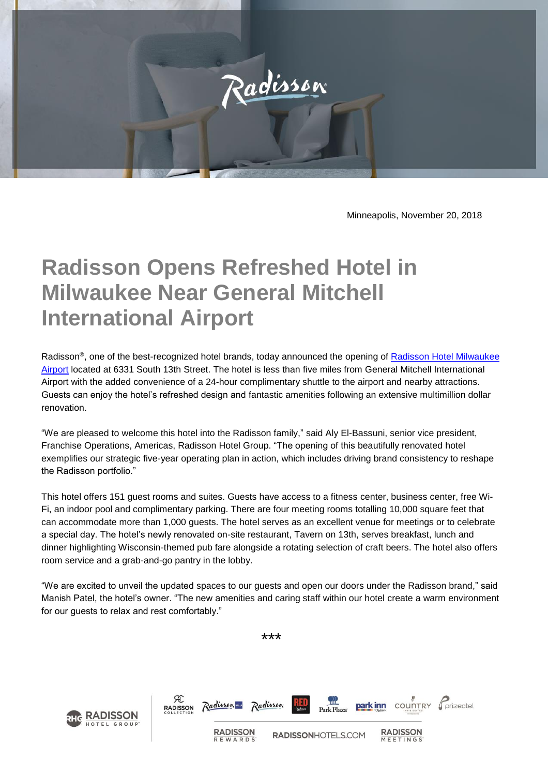

Minneapolis, November 20, 2018

## **Radisson Opens Refreshed Hotel in Milwaukee Near General Mitchell International Airport**

Radisson®, one of the best-recognized hotel brands, today announced the opening of **Radisson Hotel Milwaukee** [Airport](https://www.radisson.com/milwaukee-hotel-wi-53221/usamapw) located at 6331 South 13th Street. The hotel is less than five miles from General Mitchell International Airport with the added convenience of a 24-hour complimentary shuttle to the airport and nearby attractions. Guests can enjoy the hotel's refreshed design and fantastic amenities following an extensive multimillion dollar renovation.

"We are pleased to welcome this hotel into the Radisson family," said Aly El-Bassuni, senior vice president, Franchise Operations, Americas, Radisson Hotel Group. "The opening of this beautifully renovated hotel exemplifies our strategic five-year operating plan in action, which includes driving brand consistency to reshape the Radisson portfolio."

This hotel offers 151 guest rooms and suites. Guests have access to a fitness center, business center, free Wi-Fi, an indoor pool and complimentary parking. There are four meeting rooms totalling 10,000 square feet that can accommodate more than 1,000 guests. The hotel serves as an excellent venue for meetings or to celebrate a special day. The hotel's newly renovated on-site restaurant, Tavern on 13th, serves breakfast, lunch and dinner highlighting Wisconsin-themed pub fare alongside a rotating selection of craft beers. The hotel also offers room service and a grab-and-go pantry in the lobby.

"We are excited to unveil the updated spaces to our guests and open our doors under the Radisson brand," said Manish Patel, the hotel's owner. "The new amenities and caring staff within our hotel create a warm environment for our guests to relax and rest comfortably."

\*\*\*